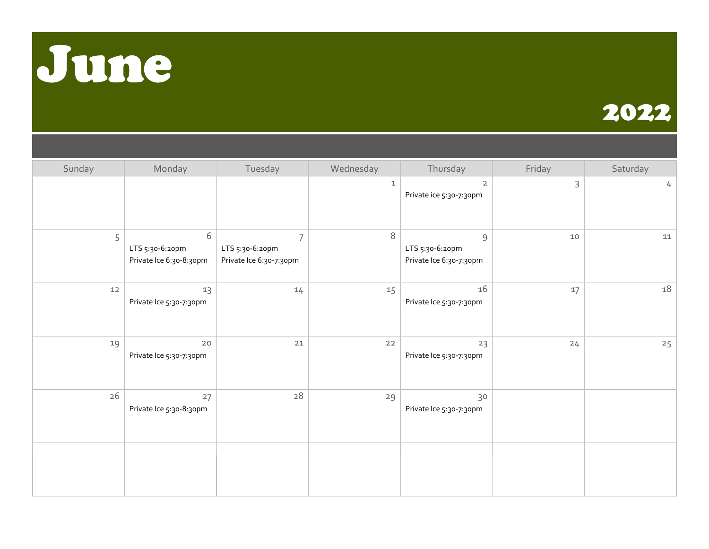



| Sunday | Monday                                          | Tuesday                                                      | Wednesday | Thursday                                                   | Friday | Saturday             |
|--------|-------------------------------------------------|--------------------------------------------------------------|-----------|------------------------------------------------------------|--------|----------------------|
|        |                                                 |                                                              | 1         | $\overline{2}$<br>Private ice 5:30-7:30pm                  | 3      | $\frac{1}{\sqrt{2}}$ |
| 5      | 6<br>LTS 5:30-6:20pm<br>Private Ice 6:30-8:30pm | $\overline{7}$<br>LTS 5:30-6:20pm<br>Private Ice 6:30-7:30pm | 8         | $\mathcal G$<br>LTS 5:30-6:20pm<br>Private Ice 6:30-7:30pm | 10     | $11\,$               |
| 12     | 13<br>Private Ice 5:30-7:30pm                   | 14                                                           | 15        | 16<br>Private Ice 5:30-7:30pm                              | 17     | 18                   |
| 19     | 20<br>Private Ice 5:30-7:30pm                   | $21$                                                         | $22$      | 23<br>Private Ice 5:30-7:30pm                              | 24     | 25                   |
| 26     | 27<br>Private Ice 5:30-8:30pm                   | $28\,$                                                       | 29        | 30<br>Private Ice 5:30-7:30pm                              |        |                      |
|        |                                                 |                                                              |           |                                                            |        |                      |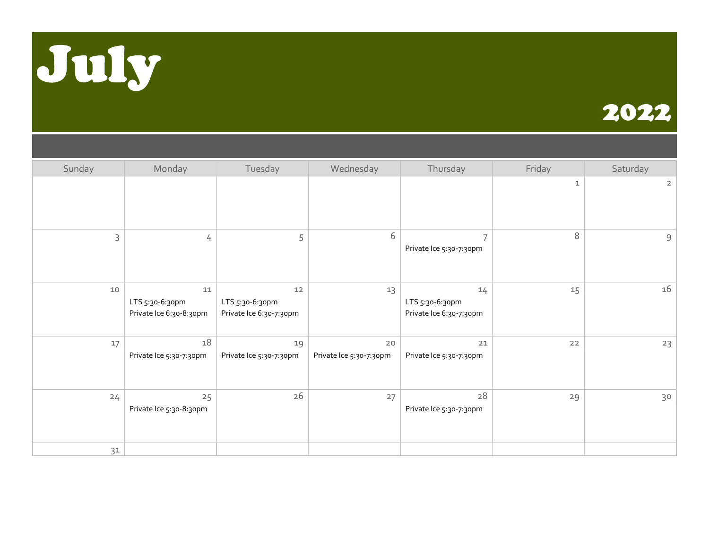



| Sunday | Monday                                               | Tuesday                                          | Wednesday                     | Thursday                                         | Friday      | Saturday       |
|--------|------------------------------------------------------|--------------------------------------------------|-------------------------------|--------------------------------------------------|-------------|----------------|
|        |                                                      |                                                  |                               |                                                  | $\mathbf 1$ | $\overline{2}$ |
| 3      | 4                                                    | 5                                                | 6                             | $\overline{7}$<br>Private Ice 5:30-7:30pm        | 8           | 9              |
| 10     | $11\,$<br>LTS 5:30-6:30pm<br>Private Ice 6:30-8:30pm | 12<br>LTS 5:30-6:30pm<br>Private Ice 6:30-7:30pm | 13                            | 14<br>LTS 5:30-6:30pm<br>Private Ice 6:30-7:30pm | 15          | 16             |
| 17     | 18<br>Private Ice 5:30-7:30pm                        | 19<br>Private Ice 5:30-7:30pm                    | 20<br>Private Ice 5:30-7:30pm | 21<br>Private Ice 5:30-7:30pm                    | 22          | 23             |
| 24     | 25<br>Private Ice 5:30-8:30pm                        | 26                                               | 27                            | 28<br>Private Ice 5:30-7:30pm                    | 29          | 30             |
| 31     |                                                      |                                                  |                               |                                                  |             |                |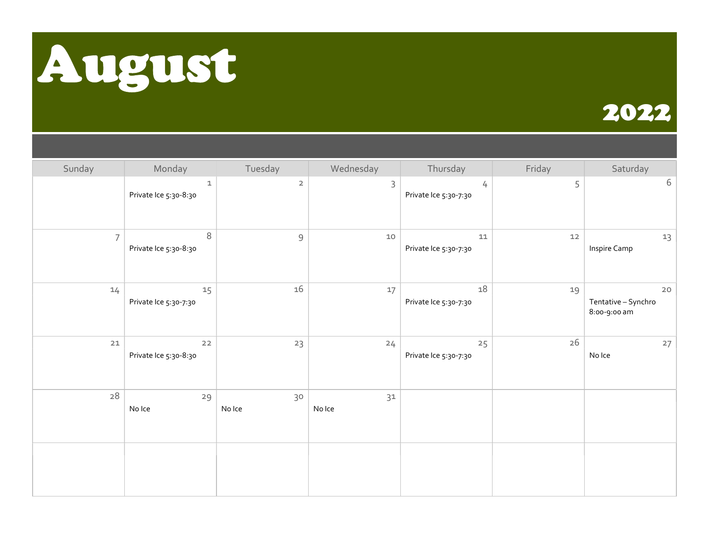



| Sunday         | Monday                               | Tuesday        | Wednesday    | Thursday                        | Friday | Saturday                                    |
|----------------|--------------------------------------|----------------|--------------|---------------------------------|--------|---------------------------------------------|
|                | $\mathbf 1$<br>Private Ice 5:30-8:30 | $\overline{2}$ | 3            | 4<br>Private Ice 5:30-7:30      | 5      | 6                                           |
| $\overline{7}$ | 8<br>Private Ice 5:30-8:30           | $\mathcal{G}$  | 10           | $11\,$<br>Private Ice 5:30-7:30 | $12$   | 13<br>Inspire Camp                          |
| 14             | 15<br>Private Ice 5:30-7:30          | 16             | 17           | 18<br>Private Ice 5:30-7:30     | 19     | $20$<br>Tentative - Synchro<br>8:00-9:00 am |
| $21$           | $22$<br>Private Ice 5:30-8:30        | 23             | 24           | 25<br>Private Ice 5:30-7:30     | 26     | 27<br>No Ice                                |
| $28\,$         | 29<br>No Ice                         | 30<br>No Ice   | 31<br>No Ice |                                 |        |                                             |
|                |                                      |                |              |                                 |        |                                             |